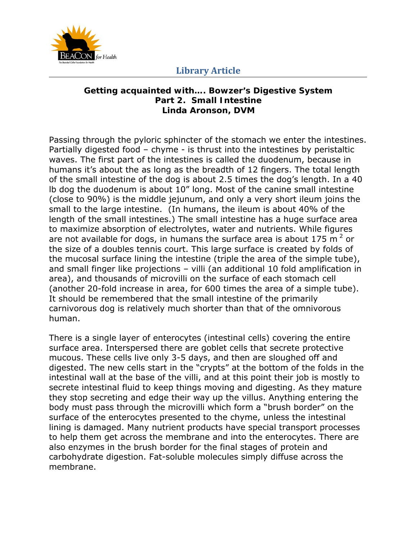

#### **Getting acquainted with…. Bowzer's Digestive System Part 2. Small Intestine Linda Aronson, DVM**

Passing through the pyloric sphincter of the stomach we enter the intestines. Partially digested food – chyme - is thrust into the intestines by peristaltic waves. The first part of the intestines is called the duodenum, because in humans it's about the as long as the breadth of 12 fingers. The total length of the small intestine of the dog is about 2.5 times the dog's length. In a 40 lb dog the duodenum is about 10" long. Most of the canine small intestine (close to 90%) is the middle jejunum, and only a very short ileum joins the small to the large intestine. (In humans, the ileum is about 40% of the length of the small intestines.) The small intestine has a huge surface area to maximize absorption of electrolytes, water and nutrients. While figures are not available for dogs, in humans the surface area is about 175  $m<sup>2</sup>$  or the size of a doubles tennis court. This large surface is created by folds of the mucosal surface lining the intestine (triple the area of the simple tube), and small finger like projections – villi (an additional 10 fold amplification in area), and thousands of microvilli on the surface of each stomach cell (another 20-fold increase in area, for 600 times the area of a simple tube). It should be remembered that the small intestine of the primarily carnivorous dog is relatively much shorter than that of the omnivorous human.

There is a single layer of enterocytes (intestinal cells) covering the entire surface area. Interspersed there are goblet cells that secrete protective mucous. These cells live only 3-5 days, and then are sloughed off and digested. The new cells start in the "crypts" at the bottom of the folds in the intestinal wall at the base of the villi, and at this point their job is mostly to secrete intestinal fluid to keep things moving and digesting. As they mature they stop secreting and edge their way up the villus. Anything entering the body must pass through the microvilli which form a "brush border" on the surface of the enterocytes presented to the chyme, unless the intestinal lining is damaged. Many nutrient products have special transport processes to help them get across the membrane and into the enterocytes. There are also enzymes in the brush border for the final stages of protein and carbohydrate digestion. Fat-soluble molecules simply diffuse across the membrane.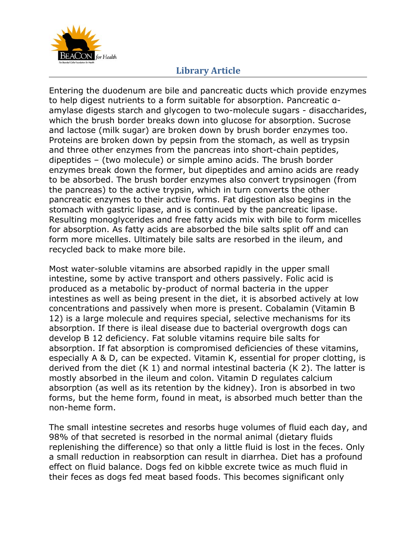

Entering the duodenum are bile and pancreatic ducts which provide enzymes to help digest nutrients to a form suitable for absorption. Pancreatic αamylase digests starch and glycogen to two-molecule sugars - disaccharides, which the brush border breaks down into glucose for absorption. Sucrose and lactose (milk sugar) are broken down by brush border enzymes too. Proteins are broken down by pepsin from the stomach, as well as trypsin and three other enzymes from the pancreas into short-chain peptides, dipeptides – (two molecule) or simple amino acids. The brush border enzymes break down the former, but dipeptides and amino acids are ready to be absorbed. The brush border enzymes also convert trypsinogen (from the pancreas) to the active trypsin, which in turn converts the other pancreatic enzymes to their active forms. Fat digestion also begins in the stomach with gastric lipase, and is continued by the pancreatic lipase. Resulting monoglycerides and free fatty acids mix with bile to form micelles for absorption. As fatty acids are absorbed the bile salts split off and can form more micelles. Ultimately bile salts are resorbed in the ileum, and recycled back to make more bile.

Most water-soluble vitamins are absorbed rapidly in the upper small intestine, some by active transport and others passively. Folic acid is produced as a metabolic by-product of normal bacteria in the upper intestines as well as being present in the diet, it is absorbed actively at low concentrations and passively when more is present. Cobalamin (Vitamin B 12) is a large molecule and requires special, selective mechanisms for its absorption. If there is ileal disease due to bacterial overgrowth dogs can develop B 12 deficiency. Fat soluble vitamins require bile salts for absorption. If fat absorption is compromised deficiencies of these vitamins, especially A & D, can be expected. Vitamin K, essential for proper clotting, is derived from the diet (K 1) and normal intestinal bacteria (K 2). The latter is mostly absorbed in the ileum and colon. Vitamin D regulates calcium absorption (as well as its retention by the kidney). Iron is absorbed in two forms, but the heme form, found in meat, is absorbed much better than the non-heme form.

The small intestine secretes and resorbs huge volumes of fluid each day, and 98% of that secreted is resorbed in the normal animal (dietary fluids replenishing the difference) so that only a little fluid is lost in the feces. Only a small reduction in reabsorption can result in diarrhea. Diet has a profound effect on fluid balance. Dogs fed on kibble excrete twice as much fluid in their feces as dogs fed meat based foods. This becomes significant only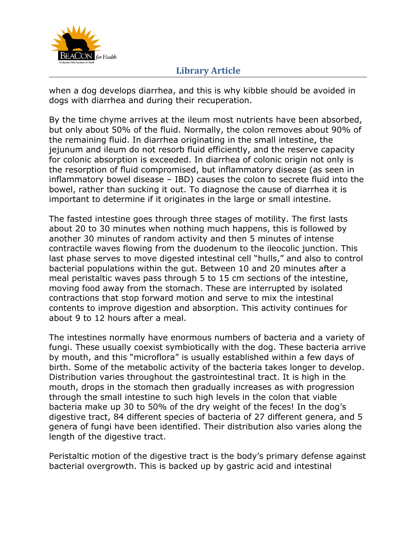

when a dog develops diarrhea, and this is why kibble should be avoided in dogs with diarrhea and during their recuperation.

By the time chyme arrives at the ileum most nutrients have been absorbed, but only about 50% of the fluid. Normally, the colon removes about 90% of the remaining fluid. In diarrhea originating in the small intestine, the jejunum and ileum do not resorb fluid efficiently, and the reserve capacity for colonic absorption is exceeded. In diarrhea of colonic origin not only is the resorption of fluid compromised, but inflammatory disease (as seen in inflammatory bowel disease – IBD) causes the colon to secrete fluid into the bowel, rather than sucking it out. To diagnose the cause of diarrhea it is important to determine if it originates in the large or small intestine.

The fasted intestine goes through three stages of motility. The first lasts about 20 to 30 minutes when nothing much happens, this is followed by another 30 minutes of random activity and then 5 minutes of intense contractile waves flowing from the duodenum to the ileocolic junction. This last phase serves to move digested intestinal cell "hulls," and also to control bacterial populations within the gut. Between 10 and 20 minutes after a meal peristaltic waves pass through 5 to 15 cm sections of the intestine, moving food away from the stomach. These are interrupted by isolated contractions that stop forward motion and serve to mix the intestinal contents to improve digestion and absorption. This activity continues for about 9 to 12 hours after a meal.

The intestines normally have enormous numbers of bacteria and a variety of fungi. These usually coexist symbiotically with the dog. These bacteria arrive by mouth, and this "microflora" is usually established within a few days of birth. Some of the metabolic activity of the bacteria takes longer to develop. Distribution varies throughout the gastrointestinal tract. It is high in the mouth, drops in the stomach then gradually increases as with progression through the small intestine to such high levels in the colon that viable bacteria make up 30 to 50% of the dry weight of the feces! In the dog's digestive tract, 84 different species of bacteria of 27 different genera, and 5 genera of fungi have been identified. Their distribution also varies along the length of the digestive tract.

Peristaltic motion of the digestive tract is the body's primary defense against bacterial overgrowth. This is backed up by gastric acid and intestinal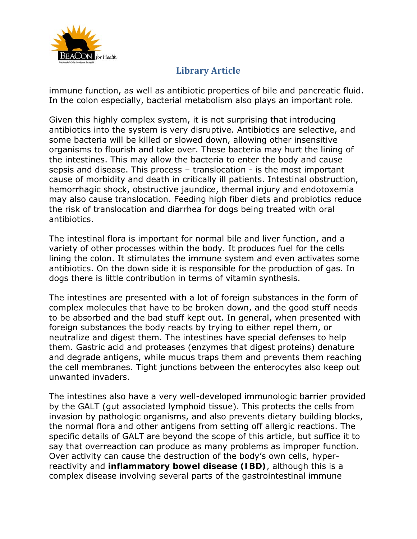

immune function, as well as antibiotic properties of bile and pancreatic fluid. In the colon especially, bacterial metabolism also plays an important role.

Given this highly complex system, it is not surprising that introducing antibiotics into the system is very disruptive. Antibiotics are selective, and some bacteria will be killed or slowed down, allowing other insensitive organisms to flourish and take over. These bacteria may hurt the lining of the intestines. This may allow the bacteria to enter the body and cause sepsis and disease. This process – translocation - is the most important cause of morbidity and death in critically ill patients. Intestinal obstruction, hemorrhagic shock, obstructive jaundice, thermal injury and endotoxemia may also cause translocation. Feeding high fiber diets and probiotics reduce the risk of translocation and diarrhea for dogs being treated with oral antibiotics.

The intestinal flora is important for normal bile and liver function, and a variety of other processes within the body. It produces fuel for the cells lining the colon. It stimulates the immune system and even activates some antibiotics. On the down side it is responsible for the production of gas. In dogs there is little contribution in terms of vitamin synthesis.

The intestines are presented with a lot of foreign substances in the form of complex molecules that have to be broken down, and the good stuff needs to be absorbed and the bad stuff kept out. In general, when presented with foreign substances the body reacts by trying to either repel them, or neutralize and digest them. The intestines have special defenses to help them. Gastric acid and proteases (enzymes that digest proteins) denature and degrade antigens, while mucus traps them and prevents them reaching the cell membranes. Tight junctions between the enterocytes also keep out unwanted invaders.

The intestines also have a very well-developed immunologic barrier provided by the GALT (gut associated lymphoid tissue). This protects the cells from invasion by pathologic organisms, and also prevents dietary building blocks, the normal flora and other antigens from setting off allergic reactions. The specific details of GALT are beyond the scope of this article, but suffice it to say that overreaction can produce as many problems as improper function. Over activity can cause the destruction of the body's own cells, hyperreactivity and **inflammatory bowel disease (IBD)**, although this is a complex disease involving several parts of the gastrointestinal immune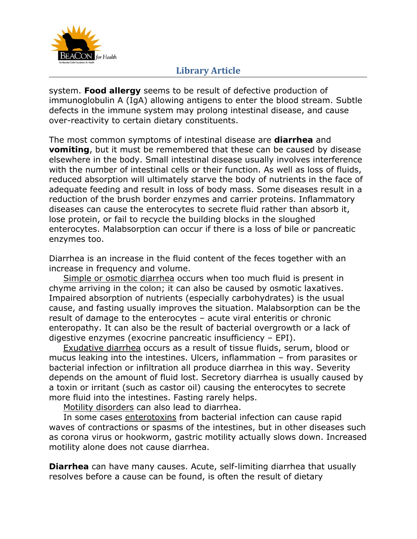

system. **Food allergy** seems to be result of defective production of immunoglobulin A (IgA) allowing antigens to enter the blood stream. Subtle defects in the immune system may prolong intestinal disease, and cause over-reactivity to certain dietary constituents.

The most common symptoms of intestinal disease are **diarrhea** and **vomiting**, but it must be remembered that these can be caused by disease elsewhere in the body. Small intestinal disease usually involves interference with the number of intestinal cells or their function. As well as loss of fluids, reduced absorption will ultimately starve the body of nutrients in the face of adequate feeding and result in loss of body mass. Some diseases result in a reduction of the brush border enzymes and carrier proteins. Inflammatory diseases can cause the enterocytes to secrete fluid rather than absorb it, lose protein, or fail to recycle the building blocks in the sloughed enterocytes. Malabsorption can occur if there is a loss of bile or pancreatic enzymes too.

Diarrhea is an increase in the fluid content of the feces together with an increase in frequency and volume.

 Simple or osmotic diarrhea occurs when too much fluid is present in chyme arriving in the colon; it can also be caused by osmotic laxatives. Impaired absorption of nutrients (especially carbohydrates) is the usual cause, and fasting usually improves the situation. Malabsorption can be the result of damage to the enterocytes – acute viral enteritis or chronic enteropathy. It can also be the result of bacterial overgrowth or a lack of digestive enzymes (exocrine pancreatic insufficiency – EPI).

 Exudative diarrhea occurs as a result of tissue fluids, serum, blood or mucus leaking into the intestines. Ulcers, inflammation – from parasites or bacterial infection or infiltration all produce diarrhea in this way. Severity depends on the amount of fluid lost. Secretory diarrhea is usually caused by a toxin or irritant (such as castor oil) causing the enterocytes to secrete more fluid into the intestines. Fasting rarely helps.

Motility disorders can also lead to diarrhea.

 In some cases enterotoxins from bacterial infection can cause rapid waves of contractions or spasms of the intestines, but in other diseases such as corona virus or hookworm, gastric motility actually slows down. Increased motility alone does not cause diarrhea.

**Diarrhea** can have many causes. Acute, self-limiting diarrhea that usually resolves before a cause can be found, is often the result of dietary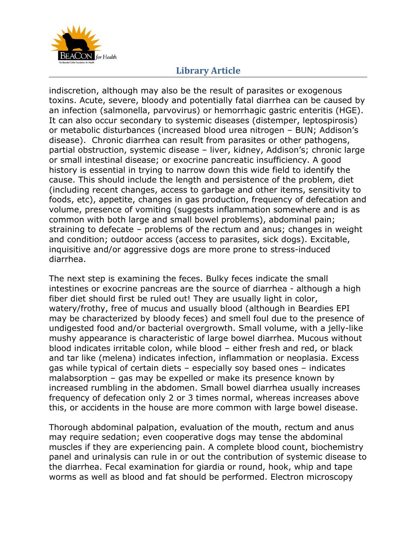

indiscretion, although may also be the result of parasites or exogenous toxins. Acute, severe, bloody and potentially fatal diarrhea can be caused by an infection (salmonella, parvovirus) or hemorrhagic gastric enteritis (HGE). It can also occur secondary to systemic diseases (distemper, leptospirosis) or metabolic disturbances (increased blood urea nitrogen – BUN; Addison's disease). Chronic diarrhea can result from parasites or other pathogens, partial obstruction, systemic disease – liver, kidney, Addison's; chronic large or small intestinal disease; or exocrine pancreatic insufficiency. A good history is essential in trying to narrow down this wide field to identify the cause. This should include the length and persistence of the problem, diet (including recent changes, access to garbage and other items, sensitivity to foods, etc), appetite, changes in gas production, frequency of defecation and volume, presence of vomiting (suggests inflammation somewhere and is as common with both large and small bowel problems), abdominal pain; straining to defecate – problems of the rectum and anus; changes in weight and condition; outdoor access (access to parasites, sick dogs). Excitable, inquisitive and/or aggressive dogs are more prone to stress-induced diarrhea.

The next step is examining the feces. Bulky feces indicate the small intestines or exocrine pancreas are the source of diarrhea - although a high fiber diet should first be ruled out! They are usually light in color, watery/frothy, free of mucus and usually blood (although in Beardies EPI may be characterized by bloody feces) and smell foul due to the presence of undigested food and/or bacterial overgrowth. Small volume, with a jelly-like mushy appearance is characteristic of large bowel diarrhea. Mucous without blood indicates irritable colon, while blood – either fresh and red, or black and tar like (melena) indicates infection, inflammation or neoplasia. Excess gas while typical of certain diets – especially soy based ones – indicates malabsorption – gas may be expelled or make its presence known by increased rumbling in the abdomen. Small bowel diarrhea usually increases frequency of defecation only 2 or 3 times normal, whereas increases above this, or accidents in the house are more common with large bowel disease.

Thorough abdominal palpation, evaluation of the mouth, rectum and anus may require sedation; even cooperative dogs may tense the abdominal muscles if they are experiencing pain. A complete blood count, biochemistry panel and urinalysis can rule in or out the contribution of systemic disease to the diarrhea. Fecal examination for giardia or round, hook, whip and tape worms as well as blood and fat should be performed. Electron microscopy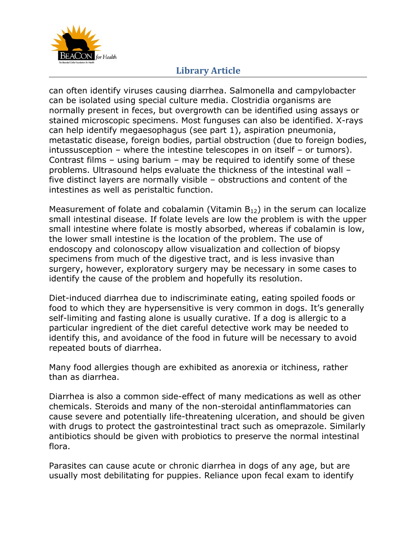

can often identify viruses causing diarrhea. Salmonella and campylobacter can be isolated using special culture media. Clostridia organisms are normally present in feces, but overgrowth can be identified using assays or stained microscopic specimens. Most funguses can also be identified. X-rays can help identify megaesophagus (see part 1), aspiration pneumonia, metastatic disease, foreign bodies, partial obstruction (due to foreign bodies, intussusception – where the intestine telescopes in on itself – or tumors). Contrast films – using barium – may be required to identify some of these problems. Ultrasound helps evaluate the thickness of the intestinal wall – five distinct layers are normally visible – obstructions and content of the intestines as well as peristaltic function.

Measurement of folate and cobalamin (Vitamin  $B_{12}$ ) in the serum can localize small intestinal disease. If folate levels are low the problem is with the upper small intestine where folate is mostly absorbed, whereas if cobalamin is low, the lower small intestine is the location of the problem. The use of endoscopy and colonoscopy allow visualization and collection of biopsy specimens from much of the digestive tract, and is less invasive than surgery, however, exploratory surgery may be necessary in some cases to identify the cause of the problem and hopefully its resolution.

Diet-induced diarrhea due to indiscriminate eating, eating spoiled foods or food to which they are hypersensitive is very common in dogs. It's generally self-limiting and fasting alone is usually curative. If a dog is allergic to a particular ingredient of the diet careful detective work may be needed to identify this, and avoidance of the food in future will be necessary to avoid repeated bouts of diarrhea.

Many food allergies though are exhibited as anorexia or itchiness, rather than as diarrhea.

Diarrhea is also a common side-effect of many medications as well as other chemicals. Steroids and many of the non-steroidal antinflammatories can cause severe and potentially life-threatening ulceration, and should be given with drugs to protect the gastrointestinal tract such as omeprazole. Similarly antibiotics should be given with probiotics to preserve the normal intestinal flora.

Parasites can cause acute or chronic diarrhea in dogs of any age, but are usually most debilitating for puppies. Reliance upon fecal exam to identify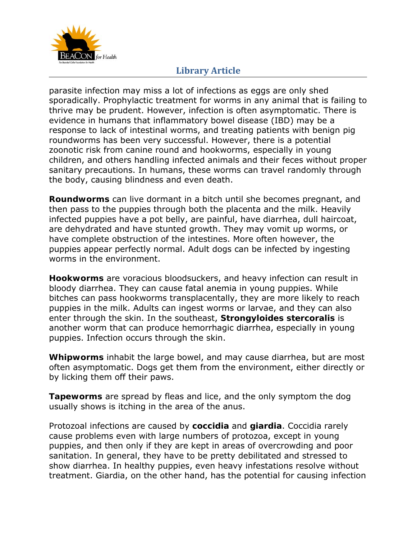

parasite infection may miss a lot of infections as eggs are only shed sporadically. Prophylactic treatment for worms in any animal that is failing to thrive may be prudent. However, infection is often asymptomatic. There is evidence in humans that inflammatory bowel disease (IBD) may be a response to lack of intestinal worms, and treating patients with benign pig roundworms has been very successful. However, there is a potential zoonotic risk from canine round and hookworms, especially in young children, and others handling infected animals and their feces without proper sanitary precautions. In humans, these worms can travel randomly through the body, causing blindness and even death.

**Roundworms** can live dormant in a bitch until she becomes pregnant, and then pass to the puppies through both the placenta and the milk. Heavily infected puppies have a pot belly, are painful, have diarrhea, dull haircoat, are dehydrated and have stunted growth. They may vomit up worms, or have complete obstruction of the intestines. More often however, the puppies appear perfectly normal. Adult dogs can be infected by ingesting worms in the environment.

**Hookworms** are voracious bloodsuckers, and heavy infection can result in bloody diarrhea. They can cause fatal anemia in young puppies. While bitches can pass hookworms transplacentally, they are more likely to reach puppies in the milk. Adults can ingest worms or larvae, and they can also enter through the skin. In the southeast, *Strongyloides stercoralis* is another worm that can produce hemorrhagic diarrhea, especially in young puppies. Infection occurs through the skin.

**Whipworms** inhabit the large bowel, and may cause diarrhea, but are most often asymptomatic. Dogs get them from the environment, either directly or by licking them off their paws.

**Tapeworms** are spread by fleas and lice, and the only symptom the dog usually shows is itching in the area of the anus.

Protozoal infections are caused by **coccidia** and **giardia**. Coccidia rarely cause problems even with large numbers of protozoa, except in young puppies, and then only if they are kept in areas of overcrowding and poor sanitation. In general, they have to be pretty debilitated and stressed to show diarrhea. In healthy puppies, even heavy infestations resolve without treatment. Giardia, on the other hand, has the potential for causing infection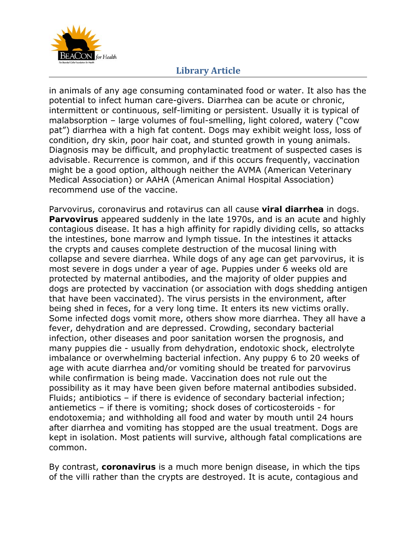

in animals of any age consuming contaminated food or water. It also has the potential to infect human care-givers. Diarrhea can be acute or chronic, intermittent or continuous, self-limiting or persistent. Usually it is typical of malabsorption – large volumes of foul-smelling, light colored, watery ("cow pat") diarrhea with a high fat content. Dogs may exhibit weight loss, loss of condition, dry skin, poor hair coat, and stunted growth in young animals. Diagnosis may be difficult, and prophylactic treatment of suspected cases is advisable. Recurrence is common, and if this occurs frequently, vaccination might be a good option, although neither the AVMA (American Veterinary Medical Association) or AAHA (American Animal Hospital Association) recommend use of the vaccine.

Parvovirus, coronavirus and rotavirus can all cause **viral diarrhea** in dogs. **Parvovirus** appeared suddenly in the late 1970s, and is an acute and highly contagious disease. It has a high affinity for rapidly dividing cells, so attacks the intestines, bone marrow and lymph tissue. In the intestines it attacks the crypts and causes complete destruction of the mucosal lining with collapse and severe diarrhea. While dogs of any age can get parvovirus, it is most severe in dogs under a year of age. Puppies under 6 weeks old are protected by maternal antibodies, and the majority of older puppies and dogs are protected by vaccination (or association with dogs shedding antigen that have been vaccinated). The virus persists in the environment, after being shed in feces, for a very long time. It enters its new victims orally. Some infected dogs vomit more, others show more diarrhea. They all have a fever, dehydration and are depressed. Crowding, secondary bacterial infection, other diseases and poor sanitation worsen the prognosis, and many puppies die - usually from dehydration, endotoxic shock, electrolyte imbalance or overwhelming bacterial infection. Any puppy 6 to 20 weeks of age with acute diarrhea and/or vomiting should be treated for parvovirus while confirmation is being made. Vaccination does not rule out the possibility as it may have been given before maternal antibodies subsided. Fluids; antibiotics – if there is evidence of secondary bacterial infection; antiemetics – if there is vomiting; shock doses of corticosteroids - for endotoxemia; and withholding all food and water by mouth until 24 hours after diarrhea and vomiting has stopped are the usual treatment. Dogs are kept in isolation. Most patients will survive, although fatal complications are common.

By contrast, **coronavirus** is a much more benign disease, in which the tips of the villi rather than the crypts are destroyed. It is acute, contagious and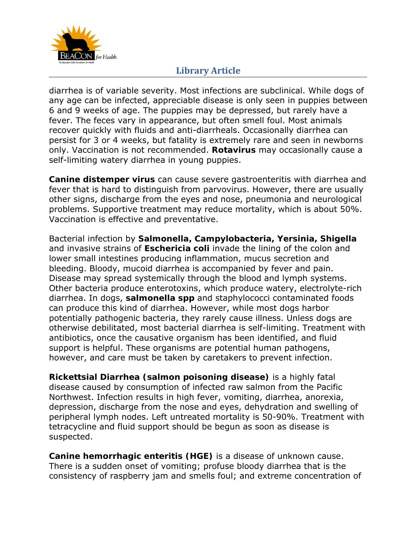

diarrhea is of variable severity. Most infections are subclinical. While dogs of any age can be infected, appreciable disease is only seen in puppies between 6 and 9 weeks of age. The puppies may be depressed, but rarely have a fever. The feces vary in appearance, but often smell foul. Most animals recover quickly with fluids and anti-diarrheals. Occasionally diarrhea can persist for 3 or 4 weeks, but fatality is extremely rare and seen in newborns only. Vaccination is not recommended. **Rotavirus** may occasionally cause a self-limiting watery diarrhea in young puppies.

**Canine distemper virus** can cause severe gastroenteritis with diarrhea and fever that is hard to distinguish from parvovirus. However, there are usually other signs, discharge from the eyes and nose, pneumonia and neurological problems. Supportive treatment may reduce mortality, which is about 50%. Vaccination is effective and preventative.

Bacterial infection by *Salmonella, Campylobacteria, Yersinia, Shigella* and invasive strains of *Eschericia coli* invade the lining of the colon and lower small intestines producing inflammation, mucus secretion and bleeding. Bloody, mucoid diarrhea is accompanied by fever and pain. Disease may spread systemically through the blood and lymph systems. Other bacteria produce enterotoxins, which produce watery, electrolyte-rich diarrhea. In dogs, *salmonella spp* and staphylococci contaminated foods can produce this kind of diarrhea. However, while most dogs harbor potentially pathogenic bacteria, they rarely cause illness. Unless dogs are otherwise debilitated, most bacterial diarrhea is self-limiting. Treatment with antibiotics, once the causative organism has been identified, and fluid support is helpful. These organisms are potential human pathogens, however, and care must be taken by caretakers to prevent infection.

**Rickettsial Diarrhea (salmon poisoning disease)** is a highly fatal disease caused by consumption of infected raw salmon from the Pacific Northwest. Infection results in high fever, vomiting, diarrhea, anorexia, depression, discharge from the nose and eyes, dehydration and swelling of peripheral lymph nodes. Left untreated mortality is 50-90%. Treatment with tetracycline and fluid support should be begun as soon as disease is suspected.

**Canine hemorrhagic enteritis (HGE)** is a disease of unknown cause. There is a sudden onset of vomiting; profuse bloody diarrhea that is the consistency of raspberry jam and smells foul; and extreme concentration of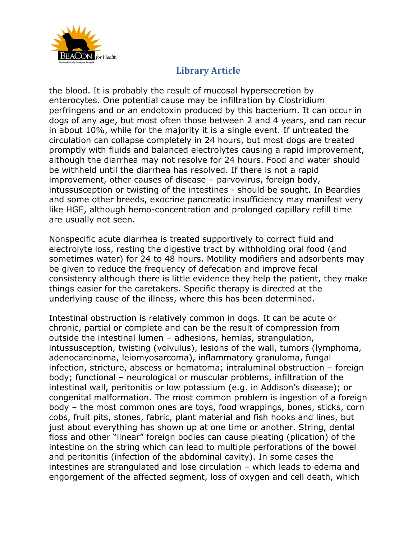

the blood. It is probably the result of mucosal hypersecretion by enterocytes. One potential cause may be infiltration by *Clostridium perfringens* and or an endotoxin produced by this bacterium. It can occur in dogs of any age, but most often those between 2 and 4 years, and can recur in about 10%, while for the majority it is a single event. If untreated the circulation can collapse completely in 24 hours, but most dogs are treated promptly with fluids and balanced electrolytes causing a rapid improvement, although the diarrhea may not resolve for 24 hours. Food and water should be withheld until the diarrhea has resolved. If there is not a rapid improvement, other causes of disease – parvovirus, foreign body, intussusception or twisting of the intestines - should be sought. In Beardies and some other breeds, exocrine pancreatic insufficiency may manifest very like HGE, although hemo-concentration and prolonged capillary refill time are usually not seen.

Nonspecific acute diarrhea is treated supportively to correct fluid and electrolyte loss, resting the digestive tract by withholding oral food (and sometimes water) for 24 to 48 hours. Motility modifiers and adsorbents may be given to reduce the frequency of defecation and improve fecal consistency although there is little evidence they help the patient, they make things easier for the caretakers. Specific therapy is directed at the underlying cause of the illness, where this has been determined.

Intestinal obstruction is relatively common in dogs. It can be acute or chronic, partial or complete and can be the result of compression from outside the intestinal lumen – adhesions, hernias, strangulation, intussusception, twisting (volvulus), lesions of the wall, tumors (lymphoma, adenocarcinoma, leiomyosarcoma), inflammatory granuloma, fungal infection, stricture, abscess or hematoma; intraluminal obstruction – foreign body; functional – neurological or muscular problems, infiltration of the intestinal wall, peritonitis or low potassium (e.g. in Addison's disease); or congenital malformation. The most common problem is ingestion of a foreign body – the most common ones are toys, food wrappings, bones, sticks, corn cobs, fruit pits, stones, fabric, plant material and fish hooks and lines, but just about everything has shown up at one time or another. String, dental floss and other "linear" foreign bodies can cause pleating (plication) of the intestine on the string which can lead to multiple perforations of the bowel and peritonitis (infection of the abdominal cavity). In some cases the intestines are strangulated and lose circulation – which leads to edema and engorgement of the affected segment, loss of oxygen and cell death, which